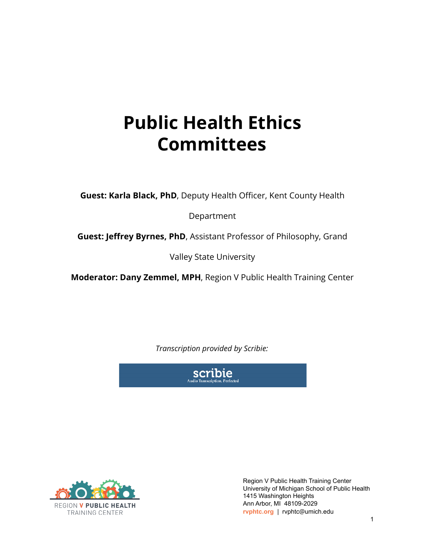## **Public Health Ethics Committees**

**Guest: Karla Black, PhD**, Deputy Health Officer, Kent County Health

Department

**Guest: Jeffrey Byrnes, PhD**, Assistant Professor of Philosophy, Grand

Valley State University

**Moderator: Dany Zemmel, MPH**, Region V Public Health Training Center

*Transcription provided by Scribie:*





Region V Public Health Training Center University of Michigan School of Public Health 1415 Washington Heights Ann Arbor, MI 48109-2029 **rvphtc.org** | rvphtc@umich.edu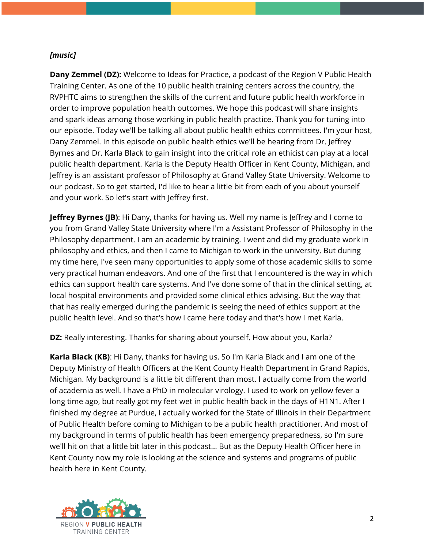## *[music]*

**Dany Zemmel (DZ):** Welcome to Ideas for Practice, a podcast of the Region V Public Health Training Center. As one of the 10 public health training centers across the country, the RVPHTC aims to strengthen the skills of the current and future public health workforce in order to improve population health outcomes. We hope this podcast will share insights and spark ideas among those working in public health practice. Thank you for tuning into our episode. Today we'll be talking all about public health ethics committees. I'm your host, Dany Zemmel. In this episode on public health ethics we'll be hearing from Dr. Jeffrey Byrnes and Dr. Karla Black to gain insight into the critical role an ethicist can play at a local public health department. Karla is the Deputy Health Officer in Kent County, Michigan, and Jeffrey is an assistant professor of Philosophy at Grand Valley State University. Welcome to our podcast. So to get started, I'd like to hear a little bit from each of you about yourself and your work. So let's start with Jeffrey first.

**Jeffrey Byrnes (JB)**: Hi Dany, thanks for having us. Well my name is Jeffrey and I come to you from Grand Valley State University where I'm a Assistant Professor of Philosophy in the Philosophy department. I am an academic by training. I went and did my graduate work in philosophy and ethics, and then I came to Michigan to work in the university. But during my time here, I've seen many opportunities to apply some of those academic skills to some very practical human endeavors. And one of the first that I encountered is the way in which ethics can support health care systems. And I've done some of that in the clinical setting, at local hospital environments and provided some clinical ethics advising. But the way that that has really emerged during the pandemic is seeing the need of ethics support at the public health level. And so that's how I came here today and that's how I met Karla.

**DZ:** Really interesting. Thanks for sharing about yourself. How about you, Karla?

**Karla Black (KB)**: Hi Dany, thanks for having us. So I'm Karla Black and I am one of the Deputy Ministry of Health Officers at the Kent County Health Department in Grand Rapids, Michigan. My background is a little bit different than most. I actually come from the world of academia as well. I have a PhD in molecular virology. I used to work on yellow fever a long time ago, but really got my feet wet in public health back in the days of H1N1. After I finished my degree at Purdue, I actually worked for the State of Illinois in their Department of Public Health before coming to Michigan to be a public health practitioner. And most of my background in terms of public health has been emergency preparedness, so I'm sure we'll hit on that a little bit later in this podcast... But as the Deputy Health Officer here in Kent County now my role is looking at the science and systems and programs of public health here in Kent County.

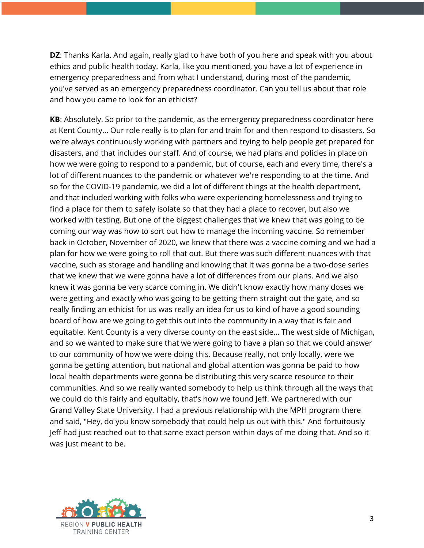**DZ**: Thanks Karla. And again, really glad to have both of you here and speak with you about ethics and public health today. Karla, like you mentioned, you have a lot of experience in emergency preparedness and from what I understand, during most of the pandemic, you've served as an emergency preparedness coordinator. Can you tell us about that role and how you came to look for an ethicist?

**KB**: Absolutely. So prior to the pandemic, as the emergency preparedness coordinator here at Kent County... Our role really is to plan for and train for and then respond to disasters. So we're always continuously working with partners and trying to help people get prepared for disasters, and that includes our staff. And of course, we had plans and policies in place on how we were going to respond to a pandemic, but of course, each and every time, there's a lot of different nuances to the pandemic or whatever we're responding to at the time. And so for the COVID-19 pandemic, we did a lot of different things at the health department, and that included working with folks who were experiencing homelessness and trying to find a place for them to safely isolate so that they had a place to recover, but also we worked with testing. But one of the biggest challenges that we knew that was going to be coming our way was how to sort out how to manage the incoming vaccine. So remember back in October, November of 2020, we knew that there was a vaccine coming and we had a plan for how we were going to roll that out. But there was such different nuances with that vaccine, such as storage and handling and knowing that it was gonna be a two-dose series that we knew that we were gonna have a lot of differences from our plans. And we also knew it was gonna be very scarce coming in. We didn't know exactly how many doses we were getting and exactly who was going to be getting them straight out the gate, and so really finding an ethicist for us was really an idea for us to kind of have a good sounding board of how are we going to get this out into the community in a way that is fair and equitable. Kent County is a very diverse county on the east side... The west side of Michigan, and so we wanted to make sure that we were going to have a plan so that we could answer to our community of how we were doing this. Because really, not only locally, were we gonna be getting attention, but national and global attention was gonna be paid to how local health departments were gonna be distributing this very scarce resource to their communities. And so we really wanted somebody to help us think through all the ways that we could do this fairly and equitably, that's how we found Jeff. We partnered with our Grand Valley State University. I had a previous relationship with the MPH program there and said, "Hey, do you know somebody that could help us out with this." And fortuitously Jeff had just reached out to that same exact person within days of me doing that. And so it was just meant to be.

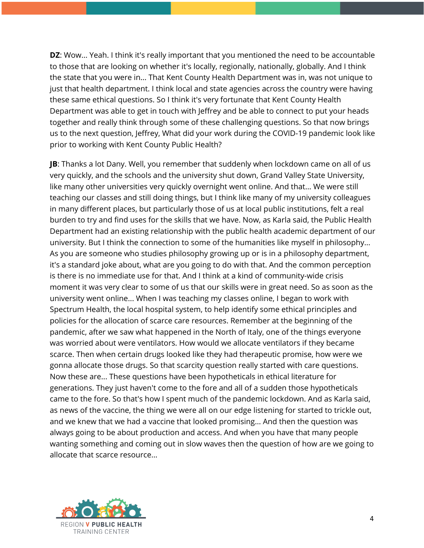**DZ**: Wow... Yeah. I think it's really important that you mentioned the need to be accountable to those that are looking on whether it's locally, regionally, nationally, globally. And I think the state that you were in... That Kent County Health Department was in, was not unique to just that health department. I think local and state agencies across the country were having these same ethical questions. So I think it's very fortunate that Kent County Health Department was able to get in touch with Jeffrey and be able to connect to put your heads together and really think through some of these challenging questions. So that now brings us to the next question, Jeffrey, What did your work during the COVID-19 pandemic look like prior to working with Kent County Public Health?

**JB**: Thanks a lot Dany. Well, you remember that suddenly when lockdown came on all of us very quickly, and the schools and the university shut down, Grand Valley State University, like many other universities very quickly overnight went online. And that... We were still teaching our classes and still doing things, but I think like many of my university colleagues in many different places, but particularly those of us at local public institutions, felt a real burden to try and find uses for the skills that we have. Now, as Karla said, the Public Health Department had an existing relationship with the public health academic department of our university. But I think the connection to some of the humanities like myself in philosophy... As you are someone who studies philosophy growing up or is in a philosophy department, it's a standard joke about, what are you going to do with that. And the common perception is there is no immediate use for that. And I think at a kind of community-wide crisis moment it was very clear to some of us that our skills were in great need. So as soon as the university went online... When I was teaching my classes online, I began to work with Spectrum Health, the local hospital system, to help identify some ethical principles and policies for the allocation of scarce care resources. Remember at the beginning of the pandemic, after we saw what happened in the North of Italy, one of the things everyone was worried about were ventilators. How would we allocate ventilators if they became scarce. Then when certain drugs looked like they had therapeutic promise, how were we gonna allocate those drugs. So that scarcity question really started with care questions. Now these are... These questions have been hypotheticals in ethical literature for generations. They just haven't come to the fore and all of a sudden those hypotheticals came to the fore. So that's how I spent much of the pandemic lockdown. And as Karla said, as news of the vaccine, the thing we were all on our edge listening for started to trickle out, and we knew that we had a vaccine that looked promising... And then the question was always going to be about production and access. And when you have that many people wanting something and coming out in slow waves then the question of how are we going to allocate that scarce resource...

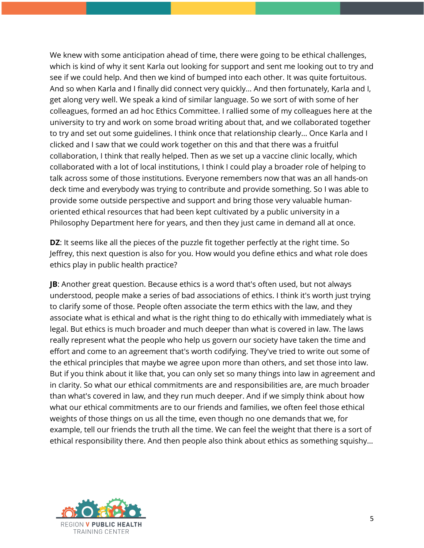We knew with some anticipation ahead of time, there were going to be ethical challenges, which is kind of why it sent Karla out looking for support and sent me looking out to try and see if we could help. And then we kind of bumped into each other. It was quite fortuitous. And so when Karla and I finally did connect very quickly... And then fortunately, Karla and I, get along very well. We speak a kind of similar language. So we sort of with some of her colleagues, formed an ad hoc Ethics Committee. I rallied some of my colleagues here at the university to try and work on some broad writing about that, and we collaborated together to try and set out some guidelines. I think once that relationship clearly... Once Karla and I clicked and I saw that we could work together on this and that there was a fruitful collaboration, I think that really helped. Then as we set up a vaccine clinic locally, which collaborated with a lot of local institutions, I think I could play a broader role of helping to talk across some of those institutions. Everyone remembers now that was an all hands-on deck time and everybody was trying to contribute and provide something. So I was able to provide some outside perspective and support and bring those very valuable humanoriented ethical resources that had been kept cultivated by a public university in a Philosophy Department here for years, and then they just came in demand all at once.

**DZ**: It seems like all the pieces of the puzzle fit together perfectly at the right time. So Jeffrey, this next question is also for you. How would you define ethics and what role does ethics play in public health practice?

**JB**: Another great question. Because ethics is a word that's often used, but not always understood, people make a series of bad associations of ethics. I think it's worth just trying to clarify some of those. People often associate the term ethics with the law, and they associate what is ethical and what is the right thing to do ethically with immediately what is legal. But ethics is much broader and much deeper than what is covered in law. The laws really represent what the people who help us govern our society have taken the time and effort and come to an agreement that's worth codifying. They've tried to write out some of the ethical principles that maybe we agree upon more than others, and set those into law. But if you think about it like that, you can only set so many things into law in agreement and in clarity. So what our ethical commitments are and responsibilities are, are much broader than what's covered in law, and they run much deeper. And if we simply think about how what our ethical commitments are to our friends and families, we often feel those ethical weights of those things on us all the time, even though no one demands that we, for example, tell our friends the truth all the time. We can feel the weight that there is a sort of ethical responsibility there. And then people also think about ethics as something squishy...

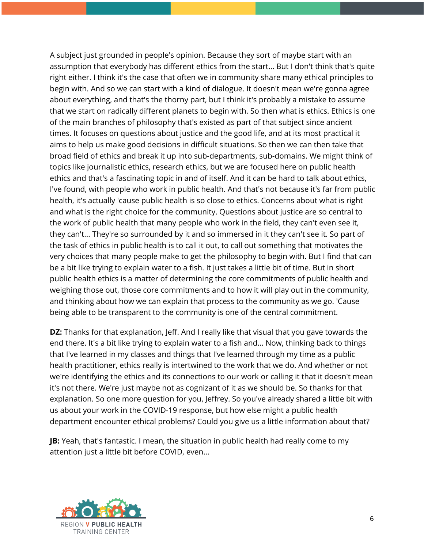A subject just grounded in people's opinion. Because they sort of maybe start with an assumption that everybody has different ethics from the start... But I don't think that's quite right either. I think it's the case that often we in community share many ethical principles to begin with. And so we can start with a kind of dialogue. It doesn't mean we're gonna agree about everything, and that's the thorny part, but I think it's probably a mistake to assume that we start on radically different planets to begin with. So then what is ethics. Ethics is one of the main branches of philosophy that's existed as part of that subject since ancient times. It focuses on questions about justice and the good life, and at its most practical it aims to help us make good decisions in difficult situations. So then we can then take that broad field of ethics and break it up into sub-departments, sub-domains. We might think of topics like journalistic ethics, research ethics, but we are focused here on public health ethics and that's a fascinating topic in and of itself. And it can be hard to talk about ethics, I've found, with people who work in public health. And that's not because it's far from public health, it's actually 'cause public health is so close to ethics. Concerns about what is right and what is the right choice for the community. Questions about justice are so central to the work of public health that many people who work in the field, they can't even see it, they can't... They're so surrounded by it and so immersed in it they can't see it. So part of the task of ethics in public health is to call it out, to call out something that motivates the very choices that many people make to get the philosophy to begin with. But I find that can be a bit like trying to explain water to a fish. It just takes a little bit of time. But in short public health ethics is a matter of determining the core commitments of public health and weighing those out, those core commitments and to how it will play out in the community, and thinking about how we can explain that process to the community as we go. 'Cause being able to be transparent to the community is one of the central commitment.

**DZ:** Thanks for that explanation, Jeff. And I really like that visual that you gave towards the end there. It's a bit like trying to explain water to a fish and... Now, thinking back to things that I've learned in my classes and things that I've learned through my time as a public health practitioner, ethics really is intertwined to the work that we do. And whether or not we're identifying the ethics and its connections to our work or calling it that it doesn't mean it's not there. We're just maybe not as cognizant of it as we should be. So thanks for that explanation. So one more question for you, Jeffrey. So you've already shared a little bit with us about your work in the COVID-19 response, but how else might a public health department encounter ethical problems? Could you give us a little information about that?

**JB:** Yeah, that's fantastic. I mean, the situation in public health had really come to my attention just a little bit before COVID, even...

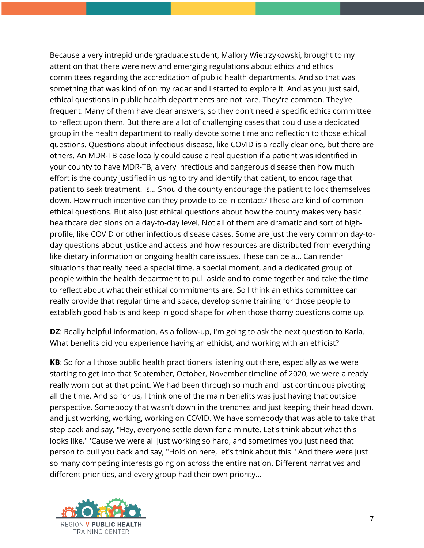Because a very intrepid undergraduate student, Mallory Wietrzykowski, brought to my attention that there were new and emerging regulations about ethics and ethics committees regarding the accreditation of public health departments. And so that was something that was kind of on my radar and I started to explore it. And as you just said, ethical questions in public health departments are not rare. They're common. They're frequent. Many of them have clear answers, so they don't need a specific ethics committee to reflect upon them. But there are a lot of challenging cases that could use a dedicated group in the health department to really devote some time and reflection to those ethical questions. Questions about infectious disease, like COVID is a really clear one, but there are others. An MDR-TB case locally could cause a real question if a patient was identified in your county to have MDR-TB, a very infectious and dangerous disease then how much effort is the county justified in using to try and identify that patient, to encourage that patient to seek treatment. Is... Should the county encourage the patient to lock themselves down. How much incentive can they provide to be in contact? These are kind of common ethical questions. But also just ethical questions about how the county makes very basic healthcare decisions on a day-to-day level. Not all of them are dramatic and sort of highprofile, like COVID or other infectious disease cases. Some are just the very common day-today questions about justice and access and how resources are distributed from everything like dietary information or ongoing health care issues. These can be a... Can render situations that really need a special time, a special moment, and a dedicated group of people within the health department to pull aside and to come together and take the time to reflect about what their ethical commitments are. So I think an ethics committee can really provide that regular time and space, develop some training for those people to establish good habits and keep in good shape for when those thorny questions come up.

**DZ**: Really helpful information. As a follow-up, I'm going to ask the next question to Karla. What benefits did you experience having an ethicist, and working with an ethicist?

**KB**: So for all those public health practitioners listening out there, especially as we were starting to get into that September, October, November timeline of 2020, we were already really worn out at that point. We had been through so much and just continuous pivoting all the time. And so for us, I think one of the main benefits was just having that outside perspective. Somebody that wasn't down in the trenches and just keeping their head down, and just working, working, working on COVID. We have somebody that was able to take that step back and say, "Hey, everyone settle down for a minute. Let's think about what this looks like." 'Cause we were all just working so hard, and sometimes you just need that person to pull you back and say, "Hold on here, let's think about this." And there were just so many competing interests going on across the entire nation. Different narratives and different priorities, and every group had their own priority...

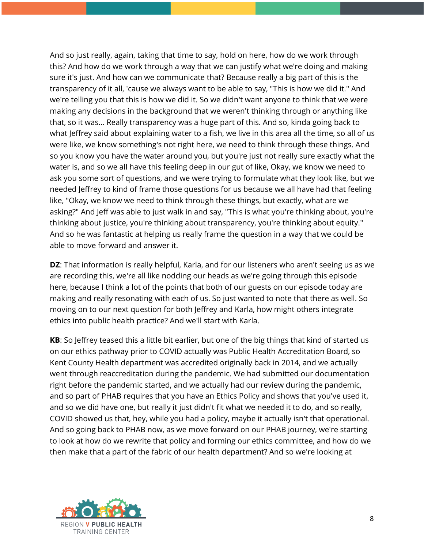And so just really, again, taking that time to say, hold on here, how do we work through this? And how do we work through a way that we can justify what we're doing and making sure it's just. And how can we communicate that? Because really a big part of this is the transparency of it all, 'cause we always want to be able to say, "This is how we did it." And we're telling you that this is how we did it. So we didn't want anyone to think that we were making any decisions in the background that we weren't thinking through or anything like that, so it was... Really transparency was a huge part of this. And so, kinda going back to what Jeffrey said about explaining water to a fish, we live in this area all the time, so all of us were like, we know something's not right here, we need to think through these things. And so you know you have the water around you, but you're just not really sure exactly what the water is, and so we all have this feeling deep in our gut of like, Okay, we know we need to ask you some sort of questions, and we were trying to formulate what they look like, but we needed Jeffrey to kind of frame those questions for us because we all have had that feeling like, "Okay, we know we need to think through these things, but exactly, what are we asking?" And Jeff was able to just walk in and say, "This is what you're thinking about, you're thinking about justice, you're thinking about transparency, you're thinking about equity." And so he was fantastic at helping us really frame the question in a way that we could be able to move forward and answer it.

**DZ**: That information is really helpful, Karla, and for our listeners who aren't seeing us as we are recording this, we're all like nodding our heads as we're going through this episode here, because I think a lot of the points that both of our guests on our episode today are making and really resonating with each of us. So just wanted to note that there as well. So moving on to our next question for both Jeffrey and Karla, how might others integrate ethics into public health practice? And we'll start with Karla.

**KB**: So Jeffrey teased this a little bit earlier, but one of the big things that kind of started us on our ethics pathway prior to COVID actually was Public Health Accreditation Board, so Kent County Health department was accredited originally back in 2014, and we actually went through reaccreditation during the pandemic. We had submitted our documentation right before the pandemic started, and we actually had our review during the pandemic, and so part of PHAB requires that you have an Ethics Policy and shows that you've used it, and so we did have one, but really it just didn't fit what we needed it to do, and so really, COVID showed us that, hey, while you had a policy, maybe it actually isn't that operational. And so going back to PHAB now, as we move forward on our PHAB journey, we're starting to look at how do we rewrite that policy and forming our ethics committee, and how do we then make that a part of the fabric of our health department? And so we're looking at

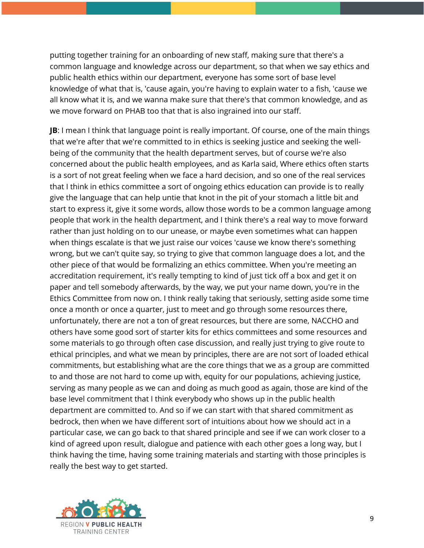putting together training for an onboarding of new staff, making sure that there's a common language and knowledge across our department, so that when we say ethics and public health ethics within our department, everyone has some sort of base level knowledge of what that is, 'cause again, you're having to explain water to a fish, 'cause we all know what it is, and we wanna make sure that there's that common knowledge, and as we move forward on PHAB too that that is also ingrained into our staff.

**JB:** I mean I think that language point is really important. Of course, one of the main things that we're after that we're committed to in ethics is seeking justice and seeking the wellbeing of the community that the health department serves, but of course we're also concerned about the public health employees, and as Karla said, Where ethics often starts is a sort of not great feeling when we face a hard decision, and so one of the real services that I think in ethics committee a sort of ongoing ethics education can provide is to really give the language that can help untie that knot in the pit of your stomach a little bit and start to express it, give it some words, allow those words to be a common language among people that work in the health department, and I think there's a real way to move forward rather than just holding on to our unease, or maybe even sometimes what can happen when things escalate is that we just raise our voices 'cause we know there's something wrong, but we can't quite say, so trying to give that common language does a lot, and the other piece of that would be formalizing an ethics committee. When you're meeting an accreditation requirement, it's really tempting to kind of just tick off a box and get it on paper and tell somebody afterwards, by the way, we put your name down, you're in the Ethics Committee from now on. I think really taking that seriously, setting aside some time once a month or once a quarter, just to meet and go through some resources there, unfortunately, there are not a ton of great resources, but there are some, NACCHO and others have some good sort of starter kits for ethics committees and some resources and some materials to go through often case discussion, and really just trying to give route to ethical principles, and what we mean by principles, there are are not sort of loaded ethical commitments, but establishing what are the core things that we as a group are committed to and those are not hard to come up with, equity for our populations, achieving justice, serving as many people as we can and doing as much good as again, those are kind of the base level commitment that I think everybody who shows up in the public health department are committed to. And so if we can start with that shared commitment as bedrock, then when we have different sort of intuitions about how we should act in a particular case, we can go back to that shared principle and see if we can work closer to a kind of agreed upon result, dialogue and patience with each other goes a long way, but I think having the time, having some training materials and starting with those principles is really the best way to get started.

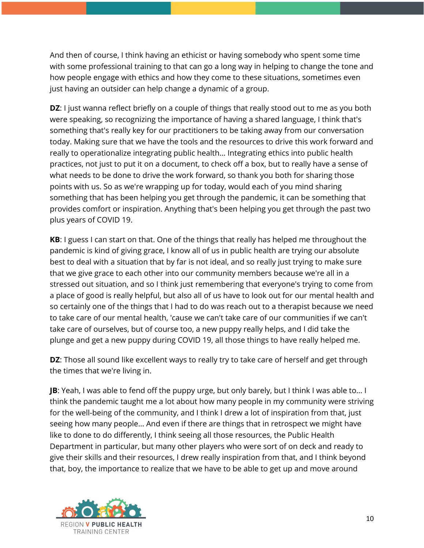And then of course, I think having an ethicist or having somebody who spent some time with some professional training to that can go a long way in helping to change the tone and how people engage with ethics and how they come to these situations, sometimes even just having an outsider can help change a dynamic of a group.

**DZ**: I just wanna reflect briefly on a couple of things that really stood out to me as you both were speaking, so recognizing the importance of having a shared language, I think that's something that's really key for our practitioners to be taking away from our conversation today. Making sure that we have the tools and the resources to drive this work forward and really to operationalize integrating public health... Integrating ethics into public health practices, not just to put it on a document, to check off a box, but to really have a sense of what needs to be done to drive the work forward, so thank you both for sharing those points with us. So as we're wrapping up for today, would each of you mind sharing something that has been helping you get through the pandemic, it can be something that provides comfort or inspiration. Anything that's been helping you get through the past two plus years of COVID 19.

**KB**: I guess I can start on that. One of the things that really has helped me throughout the pandemic is kind of giving grace, I know all of us in public health are trying our absolute best to deal with a situation that by far is not ideal, and so really just trying to make sure that we give grace to each other into our community members because we're all in a stressed out situation, and so I think just remembering that everyone's trying to come from a place of good is really helpful, but also all of us have to look out for our mental health and so certainly one of the things that I had to do was reach out to a therapist because we need to take care of our mental health, 'cause we can't take care of our communities if we can't take care of ourselves, but of course too, a new puppy really helps, and I did take the plunge and get a new puppy during COVID 19, all those things to have really helped me.

**DZ**: Those all sound like excellent ways to really try to take care of herself and get through the times that we're living in.

**JB**: Yeah, I was able to fend off the puppy urge, but only barely, but I think I was able to... I think the pandemic taught me a lot about how many people in my community were striving for the well-being of the community, and I think I drew a lot of inspiration from that, just seeing how many people... And even if there are things that in retrospect we might have like to done to do differently, I think seeing all those resources, the Public Health Department in particular, but many other players who were sort of on deck and ready to give their skills and their resources, I drew really inspiration from that, and I think beyond that, boy, the importance to realize that we have to be able to get up and move around